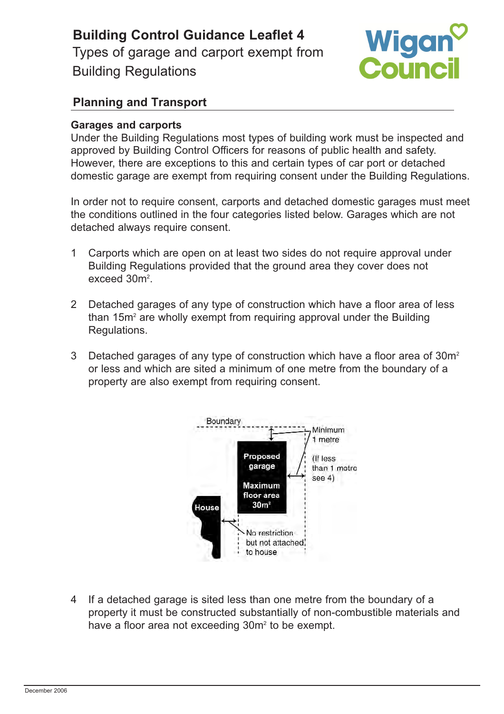**Building Control Guidance Leaflet 4**  Types of garage and carport exempt from Building Regulations



## **Planning and Transport**

## **Garages and carports**

Under the Building Regulations most types of building work must be inspected and approved by Building Control Officers for reasons of public health and safety. However, there are exceptions to this and certain types of car port or detached domestic garage are exempt from requiring consent under the Building Regulations.

In order not to require consent, carports and detached domestic garages must meet the conditions outlined in the four categories listed below. Garages which are not detached always require consent.

- 1 Carports which are open on at least two sides do not require approval under Building Regulations provided that the ground area they cover does not exceed 30m<sup>2</sup>.
- 2 Detached garages of any type of construction which have a floor area of less than  $15m<sup>2</sup>$  are wholly exempt from requiring approval under the Building Regulations.
- 3 Detached garages of any type of construction which have a floor area of 30m<sup>2</sup> or less and which are sited a minimum of one metre from the boundary of a property are also exempt from requiring consent.



4 If a detached garage is sited less than one metre from the boundary of a property it must be constructed substantially of non-combustible materials and have a floor area not exceeding 30m<sup>2</sup> to be exempt.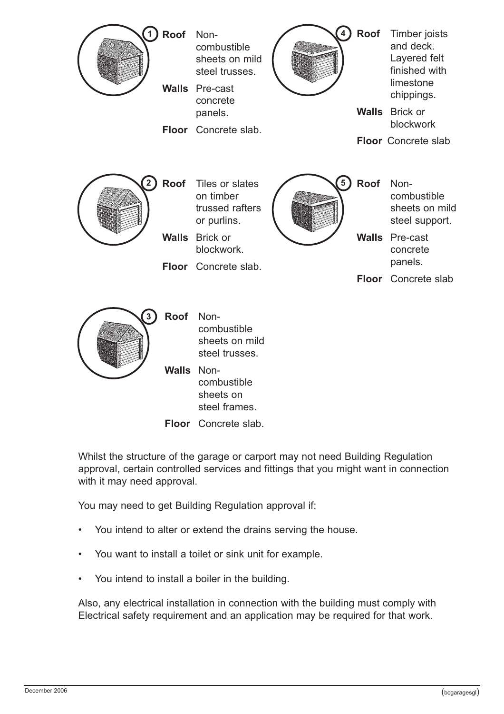

Whilst the structure of the garage or carport may not need Building Regulation approval, certain controlled services and fittings that you might want in connection with it may need approval.

You may need to get Building Regulation approval if:

- You intend to alter or extend the drains serving the house.
- You want to install a toilet or sink unit for example.
- You intend to install a boiler in the building.

Also, any electrical installation in connection with the building must comply with Electrical safety requirement and an application may be required for that work.